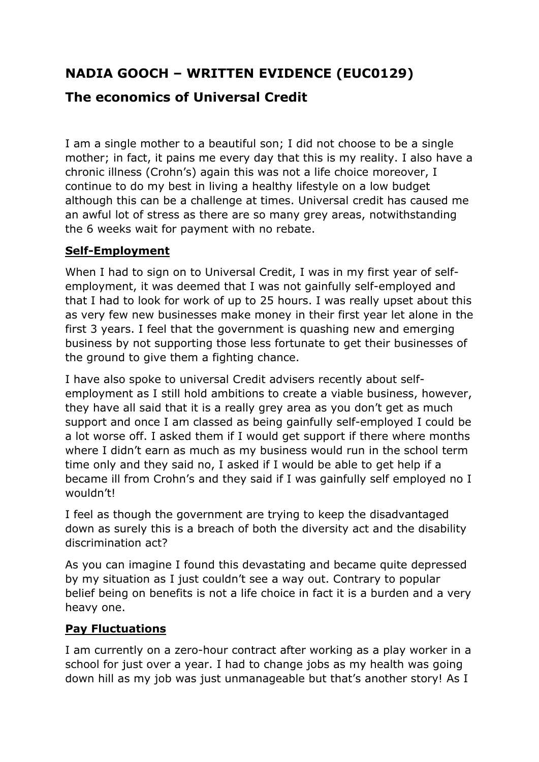# **NADIA GOOCH – WRITTEN EVIDENCE (EUC0129)**

# **The economics of Universal Credit**

I am a single mother to a beautiful son; I did not choose to be a single mother; in fact, it pains me every day that this is my reality. I also have a chronic illness (Crohn's) again this was not a life choice moreover, I continue to do my best in living a healthy lifestyle on a low budget although this can be a challenge at times. Universal credit has caused me an awful lot of stress as there are so many grey areas, notwithstanding the 6 weeks wait for payment with no rebate.

#### **Self-Employment**

When I had to sign on to Universal Credit, I was in my first year of selfemployment, it was deemed that I was not gainfully self-employed and that I had to look for work of up to 25 hours. I was really upset about this as very few new businesses make money in their first year let alone in the first 3 years. I feel that the government is quashing new and emerging business by not supporting those less fortunate to get their businesses of the ground to give them a fighting chance.

I have also spoke to universal Credit advisers recently about selfemployment as I still hold ambitions to create a viable business, however, they have all said that it is a really grey area as you don't get as much support and once I am classed as being gainfully self-employed I could be a lot worse off. I asked them if I would get support if there where months where I didn't earn as much as my business would run in the school term time only and they said no, I asked if I would be able to get help if a became ill from Crohn's and they said if I was gainfully self employed no I wouldn't!

I feel as though the government are trying to keep the disadvantaged down as surely this is a breach of both the diversity act and the disability discrimination act?

As you can imagine I found this devastating and became quite depressed by my situation as I just couldn't see a way out. Contrary to popular belief being on benefits is not a life choice in fact it is a burden and a very heavy one.

#### **Pay Fluctuations**

I am currently on a zero-hour contract after working as a play worker in a school for just over a year. I had to change jobs as my health was going down hill as my job was just unmanageable but that's another story! As I